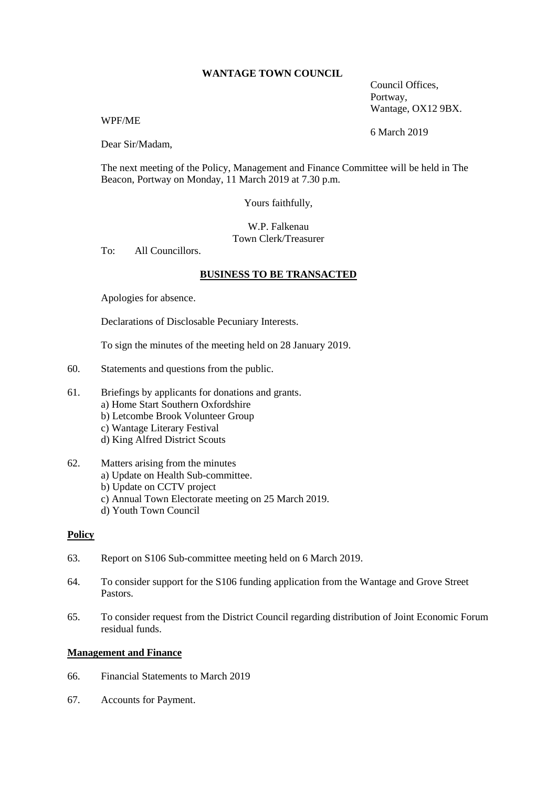### **WANTAGE TOWN COUNCIL**

Council Offices, Portway, Wantage, OX12 9BX.

### WPF/ME

Dear Sir/Madam,

The next meeting of the Policy, Management and Finance Committee will be held in The Beacon, Portway on Monday, 11 March 2019 at 7.30 p.m.

Yours faithfully,

# W.P. Falkenau Town Clerk/Treasurer

To: All Councillors.

# **BUSINESS TO BE TRANSACTED**

Apologies for absence.

Declarations of Disclosable Pecuniary Interests.

To sign the minutes of the meeting held on 28 January 2019.

- 60. Statements and questions from the public.
- 61. Briefings by applicants for donations and grants. a) Home Start Southern Oxfordshire b) Letcombe Brook Volunteer Group c) Wantage Literary Festival d) King Alfred District Scouts
- 62. Matters arising from the minutes a) Update on Health Sub-committee. b) Update on CCTV project c) Annual Town Electorate meeting on 25 March 2019. d) Youth Town Council

### **Policy**

- 63. Report on S106 Sub-committee meeting held on 6 March 2019.
- 64. To consider support for the S106 funding application from the Wantage and Grove Street Pastors.
- 65. To consider request from the District Council regarding distribution of Joint Economic Forum residual funds.

### **Management and Finance**

- 66. Financial Statements to March 2019
- 67. Accounts for Payment.

6 March 2019